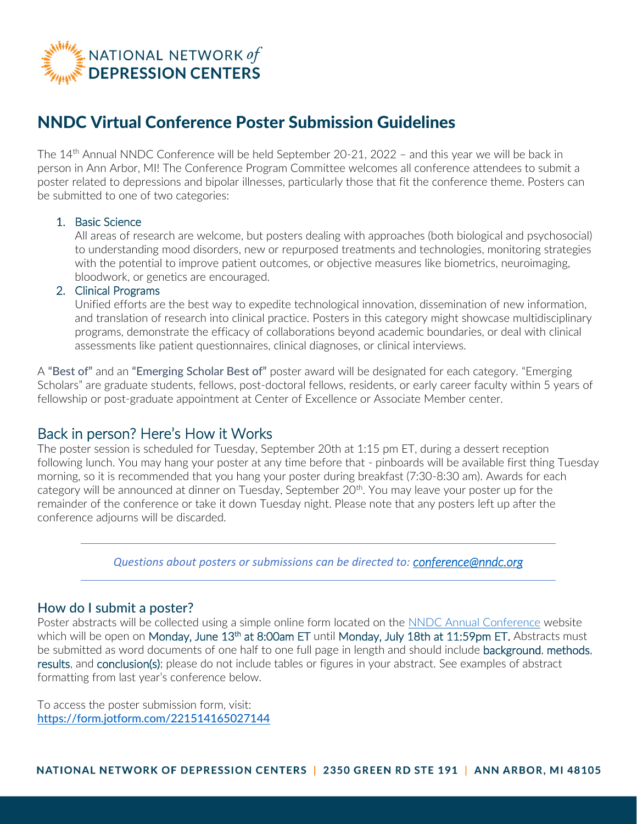

# NNDC Virtual Conference Poster Submission Guidelines

The 14<sup>th</sup> Annual NNDC Conference will be held September 20-21, 2022 - and this year we will be back in person in Ann Arbor, MI! The Conference Program Committee welcomes all conference attendees to submit a poster related to depressions and bipolar illnesses, particularly those that fit the conference theme. Posters can be submitted to one of two categories:

#### 1. Basic Science

All areas of research are welcome, but posters dealing with approaches (both biological and psychosocial) to understanding mood disorders, new or repurposed treatments and technologies, monitoring strategies with the potential to improve patient outcomes, or objective measures like biometrics, neuroimaging, bloodwork, or genetics are encouraged.

#### 2. Clinical Programs

Unified efforts are the best way to expedite technological innovation, dissemination of new information, and translation of research into clinical practice. Posters in this category might showcase multidisciplinary programs, demonstrate the efficacy of collaborations beyond academic boundaries, or deal with clinical assessments like patient questionnaires, clinical diagnoses, or clinical interviews.

A "Best of" and an "Emerging Scholar Best of" poster award will be designated for each category. "Emerging Scholars" are graduate students, fellows, post-doctoral fellows, residents, or early career faculty within 5 years of fellowship or post-graduate appointment at Center of Excellence or Associate Member center.

# Back in person? Here's How it Works

The poster session is scheduled for Tuesday, September 20th at 1:15 pm ET, during a dessert reception following lunch. You may hang your poster at any time before that - pinboards will be available first thing Tuesday morning, so it is recommended that you hang your poster during breakfast (7:30-8:30 am). Awards for each category will be announced at dinner on Tuesday, September 20<sup>th</sup>. You may leave your poster up for the remainder of the conference or take it down Tuesday night. Please note that any posters left up after the conference adjourns will be discarded.

*Questions about posters or submissions can be directed to: [conference@nndc.org](mailto:conference@nndc.org)*

#### How do I submit a poster?

Poster abstracts will be collected using a simple online form located on the [NNDC Annual Conference](http://nndc.org/annual-conference) website which will be open on M**onday, June 13<sup>th</sup> at 8:00am ET** until M**onday, July 18th at 11:59pm ET.** Abstracts must be submitted as word documents of one half to one full page in length and should include background, methods, results, and conclusion(s); please do not include tables or figures in your abstract. See examples of abstract formatting from last year's conference below.

To access the poster submission form, visit: <https://form.jotform.com/221514165027144>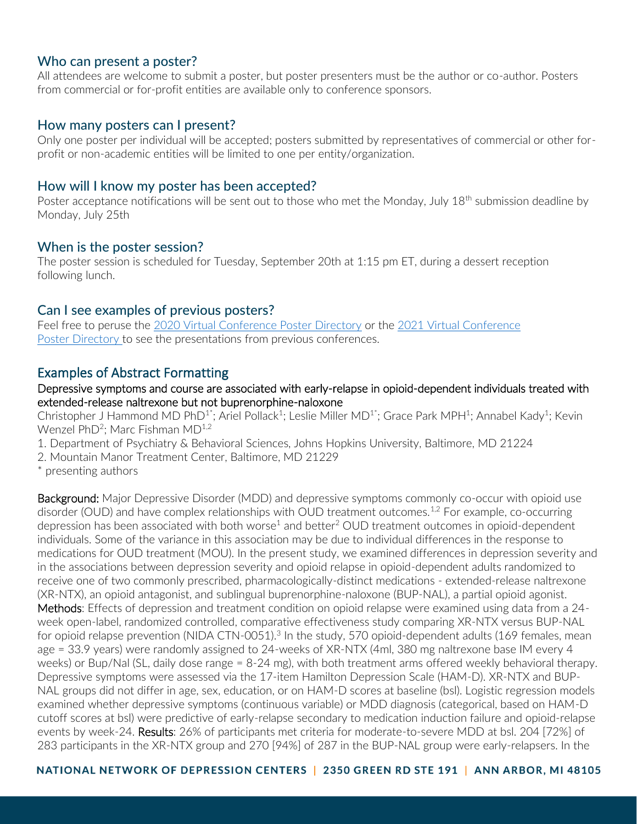### Who can present a poster?

All attendees are welcome to submit a poster, but poster presenters must be the author or co-author. Posters from commercial or for-profit entities are available only to conference sponsors.

### How many posters can I present?

Only one poster per individual will be accepted; posters submitted by representatives of commercial or other forprofit or non-academic entities will be limited to one per entity/organization.

## How will I know my poster has been accepted?

Poster acceptance notifications will be sent out to those who met the Monday, July 18<sup>th</sup> submission deadline by Monday, July 25th

## When is the poster session?

The poster session is scheduled for Tuesday, September 20th at 1:15 pm ET, during a dessert reception following lunch.

## Can I see examples of previous posters?

Feel free to peruse the [2020 Virtual Conference Poster](https://nndc.org/annual-conference/nndc-2020-virtual-poster-session-details/) Directory or the 2021 Virtual Conference Poster [Directory](https://nndc.org/annual-conference/2021-virtual/poster-session/) to see the presentations from previous conferences.

# Examples of Abstract Formatting

### Depressive symptoms and course are associated with early-relapse in opioid-dependent individuals treated with extended-release naltrexone but not buprenorphine-naloxone

Christopher J Hammond MD PhD<sup>1\*</sup>; Ariel Pollack<sup>1</sup>; Leslie Miller MD<sup>1\*</sup>; Grace Park MPH<sup>1</sup>; Annabel Kady<sup>1</sup>; Kevin Wenzel PhD<sup>2</sup>; Marc Fishman MD $^{1,2}$ 

- 1. Department of Psychiatry & Behavioral Sciences, Johns Hopkins University, Baltimore, MD 21224
- 2. Mountain Manor Treatment Center, Baltimore, MD 21229
- \* presenting authors

Background: Major Depressive Disorder (MDD) and depressive symptoms commonly co-occur with opioid use disorder (OUD) and have complex relationships with OUD treatment outcomes.<sup>1,2</sup> For example, co-occurring depression has been associated with both worse<sup>1</sup> and better<sup>2</sup> OUD treatment outcomes in opioid-dependent individuals. Some of the variance in this association may be due to individual differences in the response to medications for OUD treatment (MOU). In the present study, we examined differences in depression severity and in the associations between depression severity and opioid relapse in opioid-dependent adults randomized to receive one of two commonly prescribed, pharmacologically-distinct medications - extended-release naltrexone (XR-NTX), an opioid antagonist, and sublingual buprenorphine-naloxone (BUP-NAL), a partial opioid agonist. Methods: Effects of depression and treatment condition on opioid relapse were examined using data from a 24week open-label, randomized controlled, comparative effectiveness study comparing XR-NTX versus BUP-NAL for opioid relapse prevention (NIDA CTN-0051).<sup>3</sup> In the study, 570 opioid-dependent adults (169 females, mean age = 33.9 years) were randomly assigned to 24-weeks of XR-NTX (4ml, 380 mg naltrexone base IM every 4 weeks) or Bup/Nal (SL, daily dose range = 8-24 mg), with both treatment arms offered weekly behavioral therapy. Depressive symptoms were assessed via the 17-item Hamilton Depression Scale (HAM-D). XR-NTX and BUP-NAL groups did not differ in age, sex, education, or on HAM-D scores at baseline (bsl). Logistic regression models examined whether depressive symptoms (continuous variable) or MDD diagnosis (categorical, based on HAM-D cutoff scores at bsl) were predictive of early-relapse secondary to medication induction failure and opioid-relapse events by week-24. Results: 26% of participants met criteria for moderate-to-severe MDD at bsl. 204 [72%] of 283 participants in the XR-NTX group and 270 [94%] of 287 in the BUP-NAL group were early-relapsers. In the

NATIONAL NETWORK OF DEPRESSION CENTERS | 2350 GREEN RD STE 191 | ANN ARBOR, MI 48105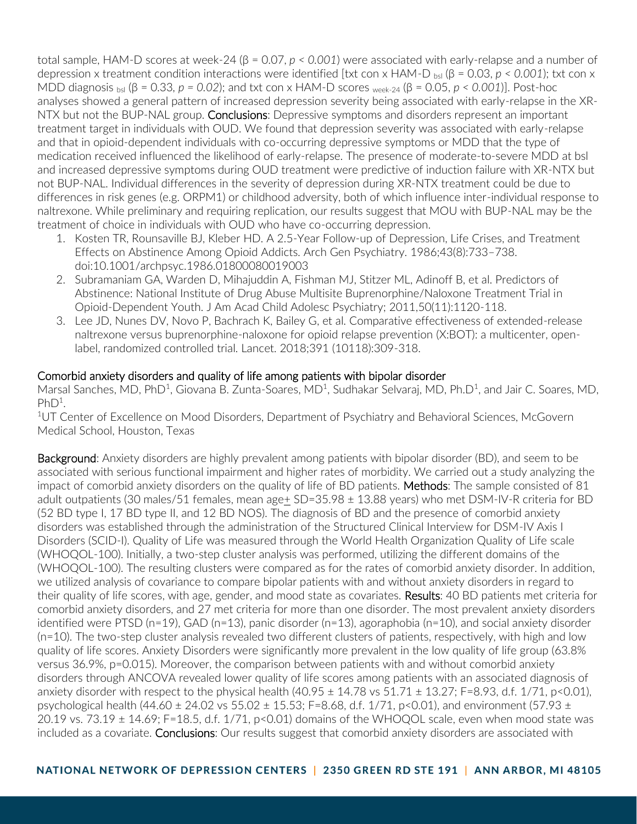total sample, HAM-D scores at week-24 (β = 0.07, *p < 0.001*) were associated with early-relapse and a number of depression x treatment condition interactions were identified [txt con x HAM-D <sub>bsl</sub> ( $\beta$  = 0.03,  $p$  < 0.001); txt con x MDD diagnosis bsl (β = 0.33*, p = 0.02*); and txt con x HAM-D scores week-24 (β = 0.05, *p < 0.001*)]. Post-hoc analyses showed a general pattern of increased depression severity being associated with early-relapse in the XR-NTX but not the BUP-NAL group. Conclusions: Depressive symptoms and disorders represent an important treatment target in individuals with OUD. We found that depression severity was associated with early-relapse and that in opioid-dependent individuals with co-occurring depressive symptoms or MDD that the type of medication received influenced the likelihood of early-relapse. The presence of moderate-to-severe MDD at bsl and increased depressive symptoms during OUD treatment were predictive of induction failure with XR-NTX but not BUP-NAL. Individual differences in the severity of depression during XR-NTX treatment could be due to differences in risk genes (e.g. ORPM1) or childhood adversity, both of which influence inter-individual response to naltrexone. While preliminary and requiring replication, our results suggest that MOU with BUP-NAL may be the treatment of choice in individuals with OUD who have co-occurring depression.

- 1. Kosten TR, Rounsaville BJ, Kleber HD. A 2.5-Year Follow-up of Depression, Life Crises, and Treatment Effects on Abstinence Among Opioid Addicts. Arch Gen Psychiatry. 1986;43(8):733–738. doi:10.1001/archpsyc.1986.01800080019003
- 2. Subramaniam GA, Warden D, Mihajuddin A, Fishman MJ, Stitzer ML, Adinoff B, et al. Predictors of Abstinence: National Institute of Drug Abuse Multisite Buprenorphine/Naloxone Treatment Trial in Opioid-Dependent Youth. J Am Acad Child Adolesc Psychiatry; 2011,50(11):1120-118.
- 3. Lee JD, Nunes DV, Novo P, Bachrach K, Bailey G, et al. Comparative effectiveness of extended-release naltrexone versus buprenorphine-naloxone for opioid relapse prevention (X:BOT): a multicenter, openlabel, randomized controlled trial. Lancet. 2018;391 (10118):309-318.

## Comorbid anxiety disorders and quality of life among patients with bipolar disorder

Marsal Sanches, MD, PhD<sup>1</sup>, Giovana B. Zunta-Soares, MD<sup>1</sup>, Sudhakar Selvaraj, MD, Ph.D<sup>1</sup>, and Jair C. Soares, MD,  $PhD<sup>1</sup>$ .

<sup>1</sup>UT Center of Excellence on Mood Disorders, Department of Psychiatry and Behavioral Sciences, McGovern Medical School, Houston, Texas

Background: Anxiety disorders are highly prevalent among patients with bipolar disorder (BD), and seem to be associated with serious functional impairment and higher rates of morbidity. We carried out a study analyzing the impact of comorbid anxiety disorders on the quality of life of BD patients. Methods: The sample consisted of 81 adult outpatients (30 males/51 females, mean age+ SD=35.98 ± 13.88 years) who met DSM-IV-R criteria for BD (52 BD type I, 17 BD type II, and 12 BD NOS). The diagnosis of BD and the presence of comorbid anxiety disorders was established through the administration of the Structured Clinical Interview for DSM-IV Axis I Disorders (SCID-I). Quality of Life was measured through the World Health Organization Quality of Life scale (WHOQOL-100). Initially, a two-step cluster analysis was performed, utilizing the different domains of the (WHOQOL-100). The resulting clusters were compared as for the rates of comorbid anxiety disorder. In addition, we utilized analysis of covariance to compare bipolar patients with and without anxiety disorders in regard to their quality of life scores, with age, gender, and mood state as covariates. Results: 40 BD patients met criteria for comorbid anxiety disorders, and 27 met criteria for more than one disorder. The most prevalent anxiety disorders identified were PTSD (n=19), GAD (n=13), panic disorder (n=13), agoraphobia (n=10), and social anxiety disorder (n=10). The two-step cluster analysis revealed two different clusters of patients, respectively, with high and low quality of life scores. Anxiety Disorders were significantly more prevalent in the low quality of life group (63.8% versus 36.9%, p=0.015). Moreover, the comparison between patients with and without comorbid anxiety disorders through ANCOVA revealed lower quality of life scores among patients with an associated diagnosis of anxiety disorder with respect to the physical health  $(40.95 \pm 14.78 \text{ vs } 51.71 \pm 13.27; F=8.93, d.f. 1/71, p<0.01)$ , psychological health (44.60  $\pm$  24.02 vs 55.02  $\pm$  15.53; F=8.68, d.f. 1/71, p<0.01), and environment (57.93  $\pm$ 20.19 vs. 73.19  $\pm$  14.69; F=18.5, d.f. 1/71, p<0.01) domains of the WHOQOL scale, even when mood state was included as a covariate. Conclusions: Our results suggest that comorbid anxiety disorders are associated with